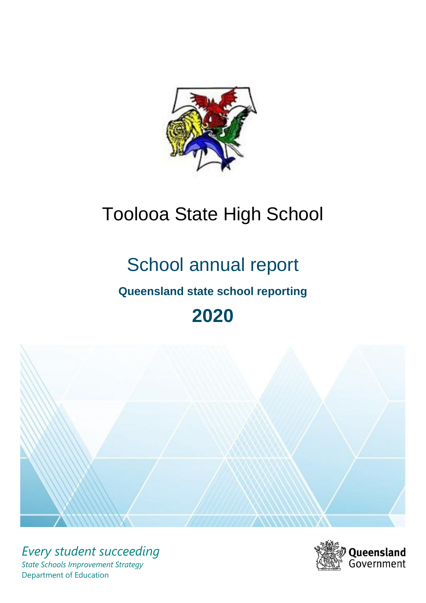

# Toolooa State High School

# School annual report

# **Queensland state school reporting**

# **2020**



*Every student succeeding State Schools Improvement Strategy* Department of Education

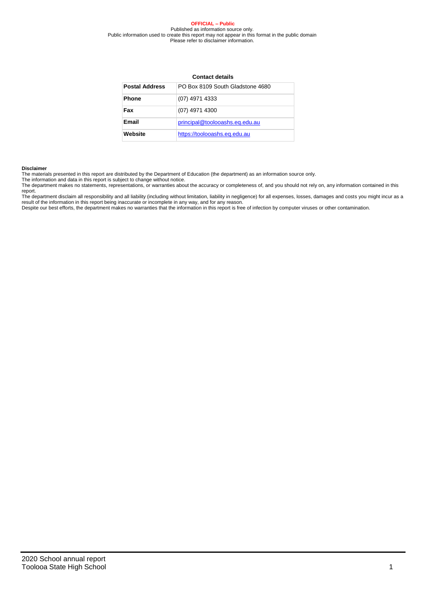#### **OFFICIAL – Public** Published as information source only. Public information used to create this report may not appear in this format in the public domain Please refer to disclaimer information.

### **Contact details**

| <b>Postal Address</b> | PO Box 8109 South Gladstone 4680 |
|-----------------------|----------------------------------|
| <b>Phone</b>          | (07) 4971 4333                   |
| Fax                   | (07) 4971 4300                   |
| Email                 | principal@toolooashs.eq.edu.au   |
| Website               | https://toolooashs.eq.edu.au     |

#### **Disclaimer**

The materials presented in this report are distributed by the Department of Education (the department) as an information source only. The information and data in this report is subject to change without notice.

The department makes no statements, representations, or warranties about the accuracy or completeness of, and you should not rely on, any information contained in this report.<br>The department disclaim all responsibility and all liability (including without limitation, liability in negligence) for all expenses, losses, damages and costs you might incur as a<br>result of the information in thi

Despite our best efforts, the department makes no warranties that the information in this report is free of infection by computer viruses or other contamination.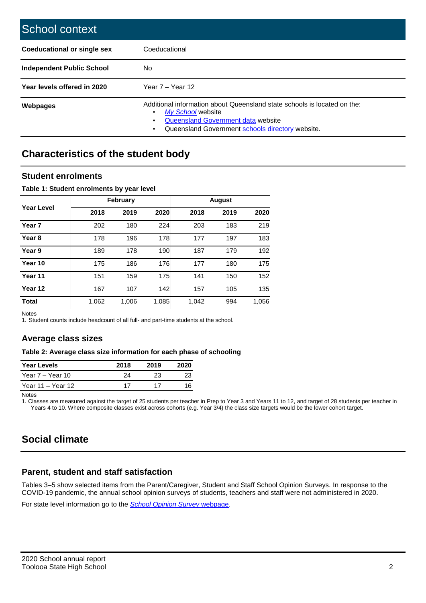| School context                     |                                                                                                                                                                                         |
|------------------------------------|-----------------------------------------------------------------------------------------------------------------------------------------------------------------------------------------|
| <b>Coeducational or single sex</b> | Coeducational                                                                                                                                                                           |
| <b>Independent Public School</b>   | No.                                                                                                                                                                                     |
| Year levels offered in 2020        | Year $7 -$ Year 12                                                                                                                                                                      |
| Webpages                           | Additional information about Queensland state schools is located on the:<br>My School website<br>Queensland Government data website<br>Queensland Government schools directory website. |

## **Characteristics of the student body**

### **Student enrolments**

### **Table 1: Student enrolments by year level**

|                   |       | <b>February</b> |       | <b>August</b> |      |       |  |
|-------------------|-------|-----------------|-------|---------------|------|-------|--|
| <b>Year Level</b> | 2018  | 2019            | 2020  | 2018          | 2019 | 2020  |  |
| Year <sub>7</sub> | 202   | 180             | 224   | 203           | 183  | 219   |  |
| Year <sub>8</sub> | 178   | 196             | 178   | 177           | 197  | 183   |  |
| Year 9            | 189   | 178             | 190   | 187           | 179  | 192   |  |
| Year 10           | 175   | 186             | 176   | 177           | 180  | 175   |  |
| Year 11           | 151   | 159             | 175   | 141           | 150  | 152   |  |
| Year 12           | 167   | 107             | 142   | 157           | 105  | 135   |  |
| <b>Total</b>      | 1,062 | 1,006           | 1,085 | 1,042         | 994  | 1,056 |  |

Notes

1. Student counts include headcount of all full- and part-time students at the school.

### **Average class sizes**

### **Table 2: Average class size information for each phase of schooling**

| <b>Year Levels</b> | 2018 | 2019 | 2020 |
|--------------------|------|------|------|
| Year 7 – Year 10   | 24   | 23   | 23   |
| Year 11 – Year 12  | 17   | 17   | 16   |

Notes

1. Classes are measured against the target of 25 students per teacher in Prep to Year 3 and Years 11 to 12, and target of 28 students per teacher in Years 4 to 10. Where composite classes exist across cohorts (e.g. Year 3/4) the class size targets would be the lower cohort target.

# **Social climate**

### **Parent, student and staff satisfaction**

Tables 3–5 show selected items from the Parent/Caregiver, Student and Staff School Opinion Surveys. In response to the COVID-19 pandemic, the annual school opinion surveys of students, teachers and staff were not administered in 2020.

For state level information go to the *[School Opinion Survey](https://qed.qld.gov.au/publications/reports/statistics/schooling/schools/schoolopinionsurvey)* [webpage.](https://qed.qld.gov.au/publications/reports/statistics/schooling/schools/schoolopinionsurvey)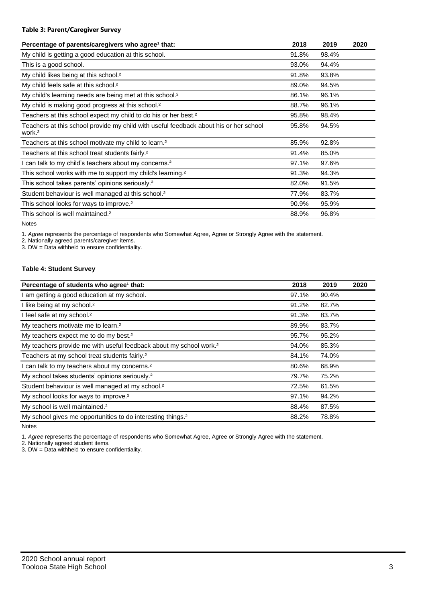### **Table 3: Parent/Caregiver Survey**

| Percentage of parents/caregivers who agree <sup>1</sup> that:                                               | 2018  | 2019  | 2020 |
|-------------------------------------------------------------------------------------------------------------|-------|-------|------|
| My child is getting a good education at this school.                                                        | 91.8% | 98.4% |      |
| This is a good school.                                                                                      | 93.0% | 94.4% |      |
| My child likes being at this school. <sup>2</sup>                                                           | 91.8% | 93.8% |      |
| My child feels safe at this school. <sup>2</sup>                                                            | 89.0% | 94.5% |      |
| My child's learning needs are being met at this school. <sup>2</sup>                                        | 86.1% | 96.1% |      |
| My child is making good progress at this school. <sup>2</sup>                                               | 88.7% | 96.1% |      |
| Teachers at this school expect my child to do his or her best. <sup>2</sup>                                 | 95.8% | 98.4% |      |
| Teachers at this school provide my child with useful feedback about his or her school<br>work. <sup>2</sup> | 95.8% | 94.5% |      |
| Teachers at this school motivate my child to learn. <sup>2</sup>                                            | 85.9% | 92.8% |      |
| Teachers at this school treat students fairly. <sup>2</sup>                                                 | 91.4% | 85.0% |      |
| I can talk to my child's teachers about my concerns. <sup>2</sup>                                           | 97.1% | 97.6% |      |
| This school works with me to support my child's learning. <sup>2</sup>                                      | 91.3% | 94.3% |      |
| This school takes parents' opinions seriously. <sup>2</sup>                                                 | 82.0% | 91.5% |      |
| Student behaviour is well managed at this school. <sup>2</sup>                                              | 77.9% | 83.7% |      |
| This school looks for ways to improve. <sup>2</sup>                                                         | 90.9% | 95.9% |      |
| This school is well maintained. <sup>2</sup>                                                                | 88.9% | 96.8% |      |

Notes

1. *Agree* represents the percentage of respondents who Somewhat Agree, Agree or Strongly Agree with the statement.

2. Nationally agreed parents/caregiver items.

3. DW = Data withheld to ensure confidentiality.

### **Table 4: Student Survey**

| Percentage of students who agree <sup>1</sup> that:                            | 2018  | 2019  | 2020 |
|--------------------------------------------------------------------------------|-------|-------|------|
| I am getting a good education at my school.                                    | 97.1% | 90.4% |      |
| I like being at my school. <sup>2</sup>                                        | 91.2% | 82.7% |      |
| I feel safe at my school. <sup>2</sup>                                         | 91.3% | 83.7% |      |
| My teachers motivate me to learn. <sup>2</sup>                                 | 89.9% | 83.7% |      |
| My teachers expect me to do my best. <sup>2</sup>                              | 95.7% | 95.2% |      |
| My teachers provide me with useful feedback about my school work. <sup>2</sup> | 94.0% | 85.3% |      |
| Teachers at my school treat students fairly. <sup>2</sup>                      | 84.1% | 74.0% |      |
| I can talk to my teachers about my concerns. <sup>2</sup>                      | 80.6% | 68.9% |      |
| My school takes students' opinions seriously. <sup>2</sup>                     | 79.7% | 75.2% |      |
| Student behaviour is well managed at my school. <sup>2</sup>                   | 72.5% | 61.5% |      |
| My school looks for ways to improve. <sup>2</sup>                              | 97.1% | 94.2% |      |
| My school is well maintained. <sup>2</sup>                                     | 88.4% | 87.5% |      |
| My school gives me opportunities to do interesting things. <sup>2</sup>        | 88.2% | 78.8% |      |

Notes

1. *Agree* represents the percentage of respondents who Somewhat Agree, Agree or Strongly Agree with the statement.

2. Nationally agreed student items.

3. DW = Data withheld to ensure confidentiality.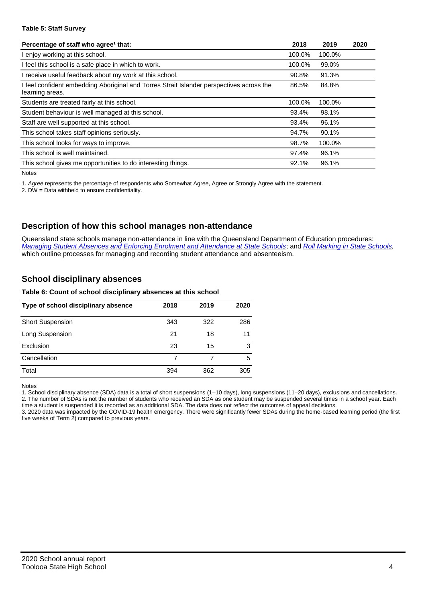### **Table 5: Staff Survey**

| Percentage of staff who agree <sup>1</sup> that:                                                          | 2018   | 2019   | 2020 |
|-----------------------------------------------------------------------------------------------------------|--------|--------|------|
| I enjoy working at this school.                                                                           | 100.0% | 100.0% |      |
| I feel this school is a safe place in which to work.                                                      | 100.0% | 99.0%  |      |
| receive useful feedback about my work at this school.                                                     | 90.8%  | 91.3%  |      |
| feel confident embedding Aboriginal and Torres Strait Islander perspectives across the<br>learning areas. | 86.5%  | 84.8%  |      |
| Students are treated fairly at this school.                                                               | 100.0% | 100.0% |      |
| Student behaviour is well managed at this school.                                                         | 93.4%  | 98.1%  |      |
| Staff are well supported at this school.                                                                  | 93.4%  | 96.1%  |      |
| This school takes staff opinions seriously.                                                               | 94.7%  | 90.1%  |      |
| This school looks for ways to improve.                                                                    | 98.7%  | 100.0% |      |
| This school is well maintained.                                                                           | 97.4%  | 96.1%  |      |
| This school gives me opportunities to do interesting things.                                              | 92.1%  | 96.1%  |      |

Notes

1. *Agree* represents the percentage of respondents who Somewhat Agree, Agree or Strongly Agree with the statement.

2. DW = Data withheld to ensure confidentiality.

### **Description of how this school manages non-attendance**

Queensland state schools manage non-attendance in line with the Queensland Department of Education procedures: *[Managing Student Absences and Enforcing Enrolment and Attendance at State Schools](https://ppr.qed.qld.gov.au/pp/managing-student-absences-and-enforcing-enrolment-and-attendance-at-state-schools-procedure)*; and *[Roll Marking in State Schools,](https://ppr.qed.qld.gov.au/pp/roll-marking-in-state-schools-procedure)* which outline processes for managing and recording student attendance and absenteeism.

### **School disciplinary absences**

### **Table 6: Count of school disciplinary absences at this school**

| Type of school disciplinary absence | 2018 | 2019 | 2020 |
|-------------------------------------|------|------|------|
| <b>Short Suspension</b>             | 343  | 322  | 286  |
| Long Suspension                     | 21   | 18   | 11   |
| Exclusion                           | 23   | 15   | з    |
| Cancellation                        |      |      | 5    |
| Total                               | 394  | 362  | 305  |

Notes

1. School disciplinary absence (SDA) data is a total of short suspensions (1–10 days), long suspensions (11–20 days), exclusions and cancellations. 2. The number of SDAs is not the number of students who received an SDA as one student may be suspended several times in a school year. Each time a student is suspended it is recorded as an additional SDA. The data does not reflect the outcomes of appeal decisions.

3. 2020 data was impacted by the COVID-19 health emergency. There were significantly fewer SDAs during the home-based learning period (the first five weeks of Term 2) compared to previous years.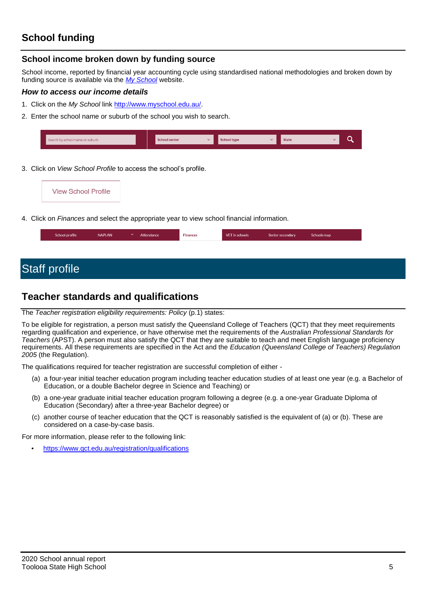# **School funding**

### **School income broken down by funding source**

School income, reported by financial year accounting cycle using standardised national methodologies and broken down by funding source is available via the *[My School](http://www.myschool.edu.au/)* website.

### *How to access our income details*

- 1. Click on the *My School* link [http://www.myschool.edu.au/.](http://www.myschool.edu.au/)
- 2. Enter the school name or suburb of the school you wish to search.

| Search by school name or suburb | <b>School sector</b> | $\checkmark$ | <b>School type</b> | <b>State</b> |  |
|---------------------------------|----------------------|--------------|--------------------|--------------|--|
|                                 |                      |              |                    |              |  |

3. Click on *View School Profile* to access the school's profile.



4. Click on *Finances* and select the appropriate year to view school financial information.

| School profile | <b>NAPLAN</b> | $\checkmark$ | Attendance | <b>Finances</b> | VET in schools | Senior secondary | Schools map |
|----------------|---------------|--------------|------------|-----------------|----------------|------------------|-------------|
|                |               |              |            |                 |                |                  |             |

# Staff profile

## **Teacher standards and qualifications**

### The *Teacher registration eligibility requirements: Policy* (p.1) states:

To be eligible for registration, a person must satisfy the Queensland College of Teachers (QCT) that they meet requirements regarding qualification and experience, or have otherwise met the requirements of the *Australian Professional Standards for Teachers* (APST). A person must also satisfy the QCT that they are suitable to teach and meet English language proficiency requirements. All these requirements are specified in the Act and the *Education (Queensland College of Teachers) Regulation 2005* (the Regulation).

The qualifications required for teacher registration are successful completion of either -

- (a) a four-year initial teacher education program including teacher education studies of at least one year (e.g. a Bachelor of Education, or a double Bachelor degree in Science and Teaching) or
- (b) a one-year graduate initial teacher education program following a degree (e.g. a one-year Graduate Diploma of Education (Secondary) after a three-year Bachelor degree) or
- (c) another course of teacher education that the QCT is reasonably satisfied is the equivalent of (a) or (b). These are considered on a case-by-case basis.

For more information, please refer to the following link:

• <https://www.qct.edu.au/registration/qualifications>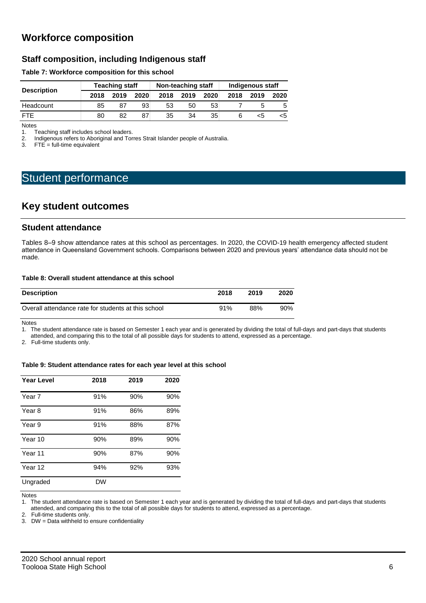# **Workforce composition**

### **Staff composition, including Indigenous staff**

### **Table 7: Workforce composition for this school**

| <b>Description</b> |      | <b>Teaching staff</b> |      |      | Non-teaching staff |      | Indigenous staff |      |      |
|--------------------|------|-----------------------|------|------|--------------------|------|------------------|------|------|
|                    | 2018 | 2019                  | 2020 | 2018 | 2019               | 2020 | 2018             | 2019 | 2020 |
| Headcount          | 85   |                       | 93   | 53   | 50                 | 53   |                  |      | .5   |
| <b>FTF</b>         | 80   | 82                    | 87   | 35   | 34                 | 35   |                  | <5   | <5   |

Notes<br>1. T 1. Teaching staff includes school leaders.<br>2. Indigenous refers to Aboriginal and Tor

2. Indigenous refers to Aboriginal and Torres Strait Islander people of Australia.<br>3. FTE = full-time equivalent

 $FTE = full-time equivalent$ 

# Student performance

### **Key student outcomes**

### **Student attendance**

Tables 8–9 show attendance rates at this school as percentages. In 2020, the COVID-19 health emergency affected student attendance in Queensland Government schools. Comparisons between 2020 and previous years' attendance data should not be made.

### **Table 8: Overall student attendance at this school**

| <b>Description</b>                                  | 2018 | 2019 | 2020 |
|-----------------------------------------------------|------|------|------|
| Overall attendance rate for students at this school | 91%  | 88%  | 90%  |

Notes

1. The student attendance rate is based on Semester 1 each year and is generated by dividing the total of full-days and part-days that students attended, and comparing this to the total of all possible days for students to attend, expressed as a percentage.

2. Full-time students only.

### **Table 9: Student attendance rates for each year level at this school**

| <b>Year Level</b> | 2018      | 2019 | 2020 |
|-------------------|-----------|------|------|
| Year 7            | 91%       | 90%  | 90%  |
| Year 8            | 91%       | 86%  | 89%  |
| Year 9            | 91%       | 88%  | 87%  |
| Year 10           | 90%       | 89%  | 90%  |
| Year 11           | 90%       | 87%  | 90%  |
| Year 12           | 94%       | 92%  | 93%  |
| Ungraded          | <b>DW</b> |      |      |

Notes

1. The student attendance rate is based on Semester 1 each year and is generated by dividing the total of full-days and part-days that students

attended, and comparing this to the total of all possible days for students to attend, expressed as a percentage.

2. Full-time students only.

3. DW = Data withheld to ensure confidentiality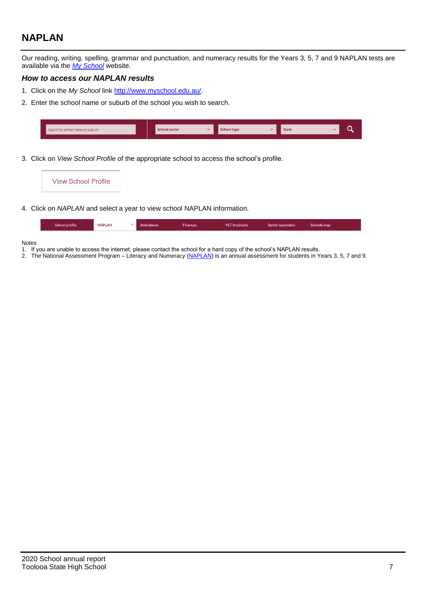# **NAPLAN**

Our reading, writing, spelling, grammar and punctuation, and numeracy results for the Years 3, 5, 7 and 9 NAPLAN tests are available via the *[My School](http://www.myschool.edu.au/)* website.

### *How to access our NAPLAN results*

- 1. Click on the *My School* link [http://www.myschool.edu.au/.](http://www.myschool.edu.au/)
- 2. Enter the school name or suburb of the school you wish to search.

| Search by school name or suburb | <b>School sector</b> | chool type | <b>State</b> |  |
|---------------------------------|----------------------|------------|--------------|--|
|                                 |                      |            |              |  |

3. Click on *View School Profile* of the appropriate school to access the school's profile.

| <b>View School Profile</b> |                                                                                |
|----------------------------|--------------------------------------------------------------------------------|
|                            |                                                                                |
|                            | 4. Click on <i>NAPLAN</i> and select a year to view school NAPLAN information. |

|  | School profile | <b>NAPLAN</b> |  | Attendance | <b>Finances</b> | <b>VET</b> in schools | Senior secondary | Schools map |
|--|----------------|---------------|--|------------|-----------------|-----------------------|------------------|-------------|
|--|----------------|---------------|--|------------|-----------------|-----------------------|------------------|-------------|

### Notes

- 1. If you are unable to access the internet, please contact the school for a hard copy of the school's NAPLAN results.
- 2. The National Assessment Program Literacy and Numeracy [\(NAPLAN\)](http://www.nap.edu.au/naplan) is an annual assessment for students in Years 3, 5, 7 and 9.